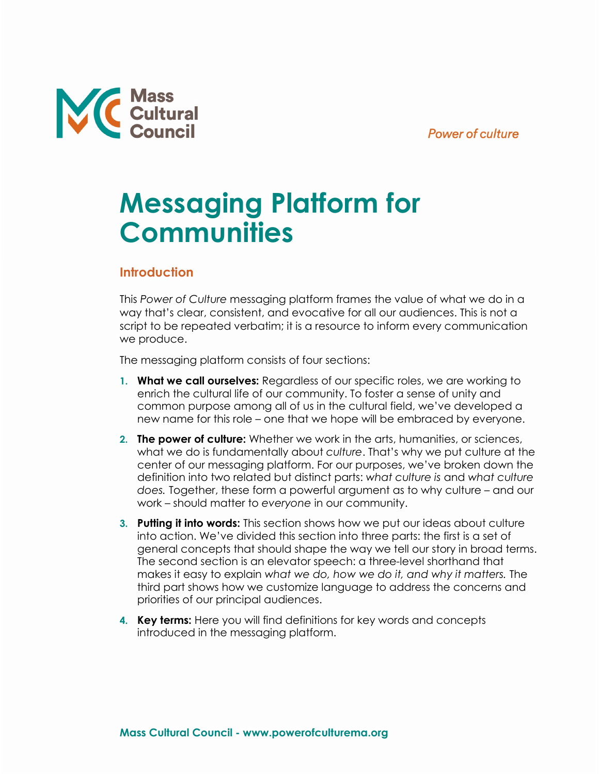## **Power of culture**



# **Messaging Platform for Communities**

## **Introduction**

This *Power of Culture* messaging platform frames the value of what we do in a way that's clear, consistent, and evocative for all our audiences. This is not a script to be repeated verbatim; it is a resource to inform every communication we produce.

The messaging platform consists of four sections:

- **1. What we call ourselves:** Regardless of our specific roles, we are working to enrich the cultural life of our community. To foster a sense of unity and common purpose among all of us in the cultural field, we've developed a new name for this role – one that we hope will be embraced by everyone.
- **2. The power of culture:** Whether we work in the arts, humanities, or sciences, what we do is fundamentally about *culture*. That's why we put culture at the center of our messaging platform. For our purposes, we've broken down the definition into two related but distinct parts: *what culture is* and *what culture does.* Together, these form a powerful argument as to why culture – and our work – should matter to *everyone* in our community.
- **3. Putting it into words:** This section shows how we put our ideas about culture into action. We've divided this section into three parts: the first is a set of general concepts that should shape the way we tell our story in broad terms. The second section is an elevator speech: a three-level shorthand that makes it easy to explain *what we do, how we do it, and why it matters.* The third part shows how we customize language to address the concerns and priorities of our principal audiences.
- **4. Key terms:** Here you will find definitions for key words and concepts introduced in the messaging platform.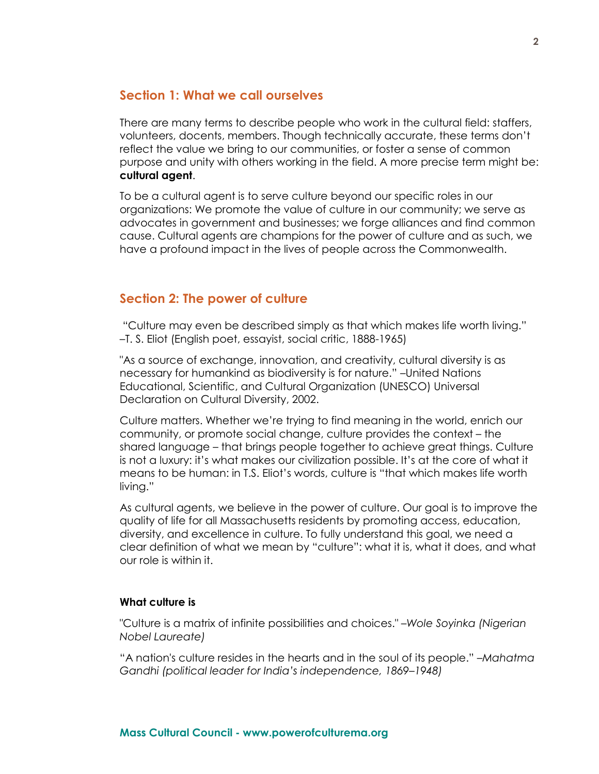## **Section 1: What we call ourselves**

There are many terms to describe people who work in the cultural field: staffers, volunteers, docents, members. Though technically accurate, these terms don't reflect the value we bring to our communities, or foster a sense of common purpose and unity with others working in the field. A more precise term might be: **cultural agent**.

To be a cultural agent is to serve culture beyond our specific roles in our organizations: We promote the value of culture in our community; we serve as advocates in government and businesses; we forge alliances and find common cause. Cultural agents are champions for the power of culture and as such, we have a profound impact in the lives of people across the Commonwealth.

## **Section 2: The power of culture**

"Culture may even be described simply as that which makes life worth living." –T. S. Eliot (English poet, essayist, social critic, 1888-1965)

"As a source of exchange, innovation, and creativity, cultural diversity is as necessary for humankind as biodiversity is for nature." –United Nations Educational, Scientific, and Cultural Organization (UNESCO) Universal Declaration on Cultural Diversity, 2002.

Culture matters. Whether we're trying to find meaning in the world, enrich our community, or promote social change, culture provides the context – the shared language – that brings people together to achieve great things. Culture is not a luxury: it's what makes our civilization possible. It's at the core of what it means to be human: in T.S. Eliot's words, culture is "that which makes life worth living."

As cultural agents, we believe in the power of culture. Our goal is to improve the quality of life for all Massachusetts residents by promoting access, education, diversity, and excellence in culture. To fully understand this goal, we need a clear definition of what we mean by "culture": what it is, what it does, and what our role is within it.

## **What culture is**

"Culture is a matrix of infinite possibilities and choices." *–Wole Soyinka (Nigerian Nobel Laureate)*

"A nation's culture resides in the hearts and in the soul of its people." *–Mahatma Gandhi (political leader for India's independence, 1869–1948)*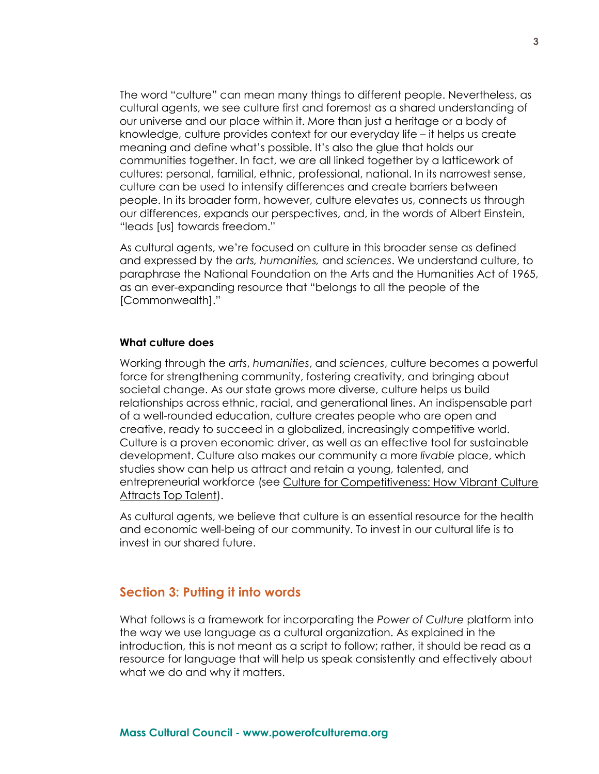The word "culture" can mean many things to different people. Nevertheless, as cultural agents, we see culture first and foremost as a shared understanding of our universe and our place within it. More than just a heritage or a body of knowledge, culture provides context for our everyday life – it helps us create meaning and define what's possible. It's also the glue that holds our communities together. In fact, we are all linked together by a latticework of cultures: personal, familial, ethnic, professional, national. In its narrowest sense, culture can be used to intensify differences and create barriers between people. In its broader form, however, culture elevates us, connects us through our differences, expands our perspectives, and, in the words of Albert Einstein, "leads [us] towards freedom."

As cultural agents, we're focused on culture in this broader sense as defined and expressed by the *arts, humanities,* and *sciences*. We understand culture, to paraphrase the National Foundation on the Arts and the Humanities Act of 1965, as an ever-expanding resource that "belongs to all the people of the [Commonwealth]."

#### **What culture does**

Working through the *arts*, *humanities*, and *sciences*, culture becomes a powerful force for strengthening community, fostering creativity, and bringing about societal change. As our state grows more diverse, culture helps us build relationships across ethnic, racial, and generational lines. An indispensable part of a well-rounded education, culture creates people who are open and creative, ready to succeed in a globalized, increasingly competitive world. Culture is a proven economic driver, as well as an effective tool for sustainable development. Culture also makes our community a more *livable* place, which studies show can help us attract and retain a young, talented, and entrepreneurial workforce (see [Culture for Competitiveness: How Vibrant Culture](http://www.businessforthearts.org/wp-content/uploads/2011/01/2016-733-Business-for-the-Arts-Comparison-of-Workers-and-Businesses.pdf)  [Attracts Top Talent\)](http://www.businessforthearts.org/wp-content/uploads/2011/01/2016-733-Business-for-the-Arts-Comparison-of-Workers-and-Businesses.pdf).

As cultural agents, we believe that culture is an essential resource for the health and economic well-being of our community. To invest in our cultural life is to invest in our shared future.

### **Section 3: Putting it into words**

What follows is a framework for incorporating the *Power of Culture* platform into the way we use language as a cultural organization. As explained in the introduction, this is not meant as a script to follow; rather, it should be read as a resource for language that will help us speak consistently and effectively about what we do and why it matters.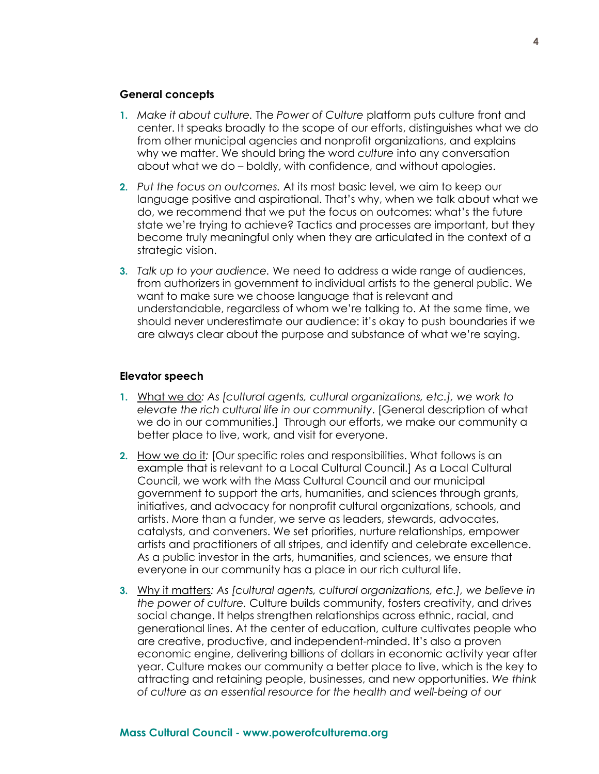#### **General concepts**

- **1.** *Make it about culture.* The *Power of Culture* platform puts culture front and center. It speaks broadly to the scope of our efforts, distinguishes what we do from other municipal agencies and nonprofit organizations, and explains why we matter. We should bring the word *culture* into any conversation about what we do – boldly, with confidence, and without apologies.
- **2.** *Put the focus on outcomes.* At its most basic level, we aim to keep our language positive and aspirational. That's why, when we talk about what we do, we recommend that we put the focus on outcomes: what's the future state we're trying to achieve? Tactics and processes are important, but they become truly meaningful only when they are articulated in the context of a strategic vision.
- **3.** *Talk up to your audience.* We need to address a wide range of audiences, from authorizers in government to individual artists to the general public. We want to make sure we choose language that is relevant and understandable, regardless of whom we're talking to. At the same time, we should never underestimate our audience: it's okay to push boundaries if we are always clear about the purpose and substance of what we're saying.

#### **Elevator speech**

- **1.** What we do*: As [cultural agents, cultural organizations, etc.], we work to elevate the rich cultural life in our community*. [General description of what we do in our communities.] Through our efforts, we make our community a better place to live, work, and visit for everyone.
- **2.** How we do it*:* [Our specific roles and responsibilities. What follows is an example that is relevant to a Local Cultural Council.] As a Local Cultural Council, we work with the Mass Cultural Council and our municipal government to support the arts, humanities, and sciences through grants, initiatives, and advocacy for nonprofit cultural organizations, schools, and artists. More than a funder, we serve as leaders, stewards, advocates, catalysts, and conveners. We set priorities, nurture relationships, empower artists and practitioners of all stripes, and identify and celebrate excellence. As a public investor in the arts, humanities, and sciences, we ensure that everyone in our community has a place in our rich cultural life.
- **3.** Why it matters*: As [cultural agents, cultural organizations, etc.], we believe in the power of culture.* Culture builds community, fosters creativity, and drives social change. It helps strengthen relationships across ethnic, racial, and generational lines. At the center of education, culture cultivates people who are creative, productive, and independent-minded. It's also a proven economic engine, delivering billions of dollars in economic activity year after year. Culture makes our community a better place to live, which is the key to attracting and retaining people, businesses, and new opportunities. *We think of culture as an essential resource for the health and well-being of our*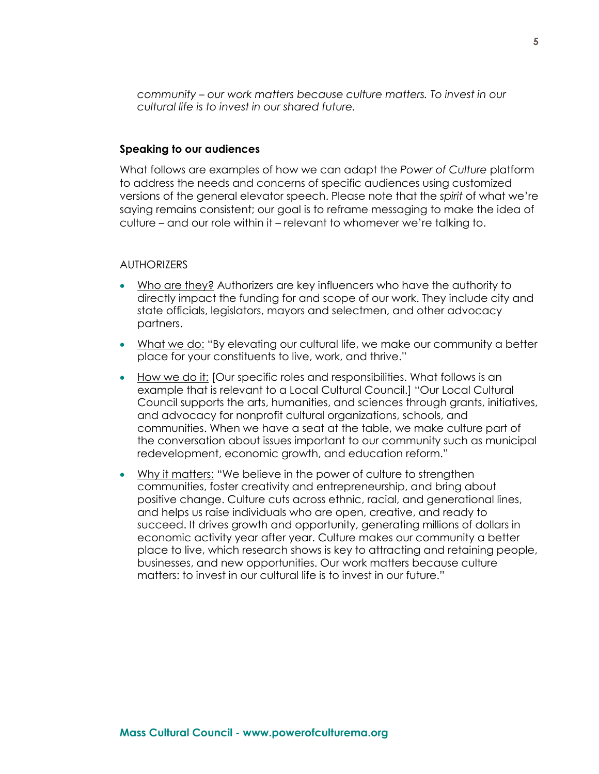*community – our work matters because culture matters. To invest in our cultural life is to invest in our shared future.*

#### **Speaking to our audiences**

What follows are examples of how we can adapt the *Power of Culture* platform to address the needs and concerns of specific audiences using customized versions of the general elevator speech. Please note that the *spirit* of what we're saying remains consistent; our goal is to reframe messaging to make the idea of culture – and our role within it – relevant to whomever we're talking to.

#### **AUTHORIZERS**

- Who are they? Authorizers are key influencers who have the authority to directly impact the funding for and scope of our work. They include city and state officials, legislators, mayors and selectmen, and other advocacy partners.
- What we do: "By elevating our cultural life, we make our community a better place for your constituents to live, work, and thrive."
- How we do it: [Our specific roles and responsibilities. What follows is an example that is relevant to a Local Cultural Council.] "Our Local Cultural Council supports the arts, humanities, and sciences through grants, initiatives, and advocacy for nonprofit cultural organizations, schools, and communities. When we have a seat at the table, we make culture part of the conversation about issues important to our community such as municipal redevelopment, economic growth, and education reform."
- Why it matters: "We believe in the power of culture to strengthen communities, foster creativity and entrepreneurship, and bring about positive change. Culture cuts across ethnic, racial, and generational lines, and helps us raise individuals who are open, creative, and ready to succeed. It drives growth and opportunity, generating millions of dollars in economic activity year after year. Culture makes our community a better place to live, which research shows is key to attracting and retaining people, businesses, and new opportunities. Our work matters because culture matters: to invest in our cultural life is to invest in our future."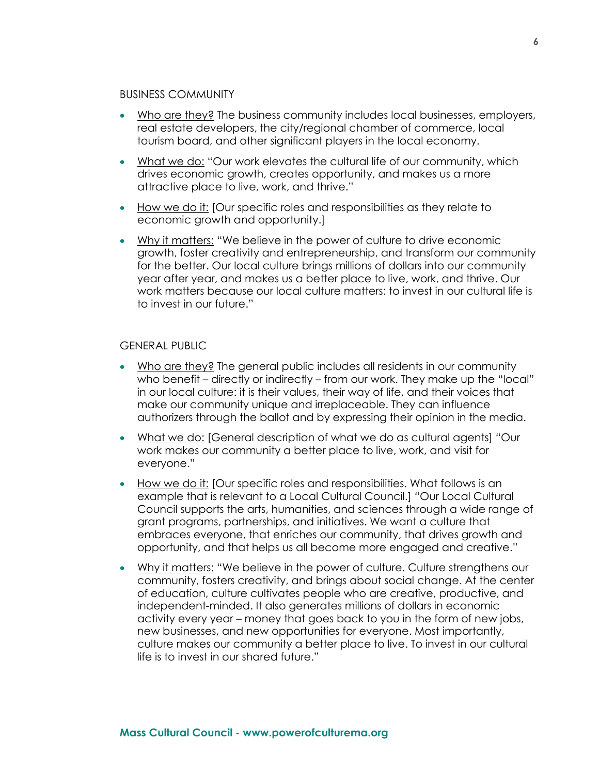#### BUSINESS COMMUNITY

- Who are they? The business community includes local businesses, employers, real estate developers, the city/regional chamber of commerce, local tourism board, and other significant players in the local economy.
- What we do: "Our work elevates the cultural life of our community, which drives economic growth, creates opportunity, and makes us a more attractive place to live, work, and thrive."
- How we do it: [Our specific roles and responsibilities as they relate to economic growth and opportunity.]
- Why it matters: "We believe in the power of culture to drive economic growth, foster creativity and entrepreneurship, and transform our community for the better. Our local culture brings millions of dollars into our community year after year, and makes us a better place to live, work, and thrive. Our work matters because our local culture matters: to invest in our cultural life is to invest in our future."

#### GENERAL PUBLIC

- Who are they? The general public includes all residents in our community who benefit – directly or indirectly – from our work. They make up the "local" in our local culture: it is their values, their way of life, and their voices that make our community unique and irreplaceable. They can influence authorizers through the ballot and by expressing their opinion in the media.
- What we do: [General description of what we do as cultural agents] *"*Our work makes our community a better place to live, work, and visit for everyone."
- How we do it: [Our specific roles and responsibilities. What follows is an example that is relevant to a Local Cultural Council.] *"*Our Local Cultural Council supports the arts, humanities, and sciences through a wide range of grant programs, partnerships, and initiatives. We want a culture that embraces everyone, that enriches our community, that drives growth and opportunity, and that helps us all become more engaged and creative."
- Why it matters: *"*We believe in the power of culture. Culture strengthens our community, fosters creativity, and brings about social change. At the center of education, culture cultivates people who are creative, productive, and independent-minded. It also generates millions of dollars in economic activity every year – money that goes back to you in the form of new jobs, new businesses, and new opportunities for everyone. Most importantly, culture makes our community a better place to live. To invest in our cultural life is to invest in our shared future."